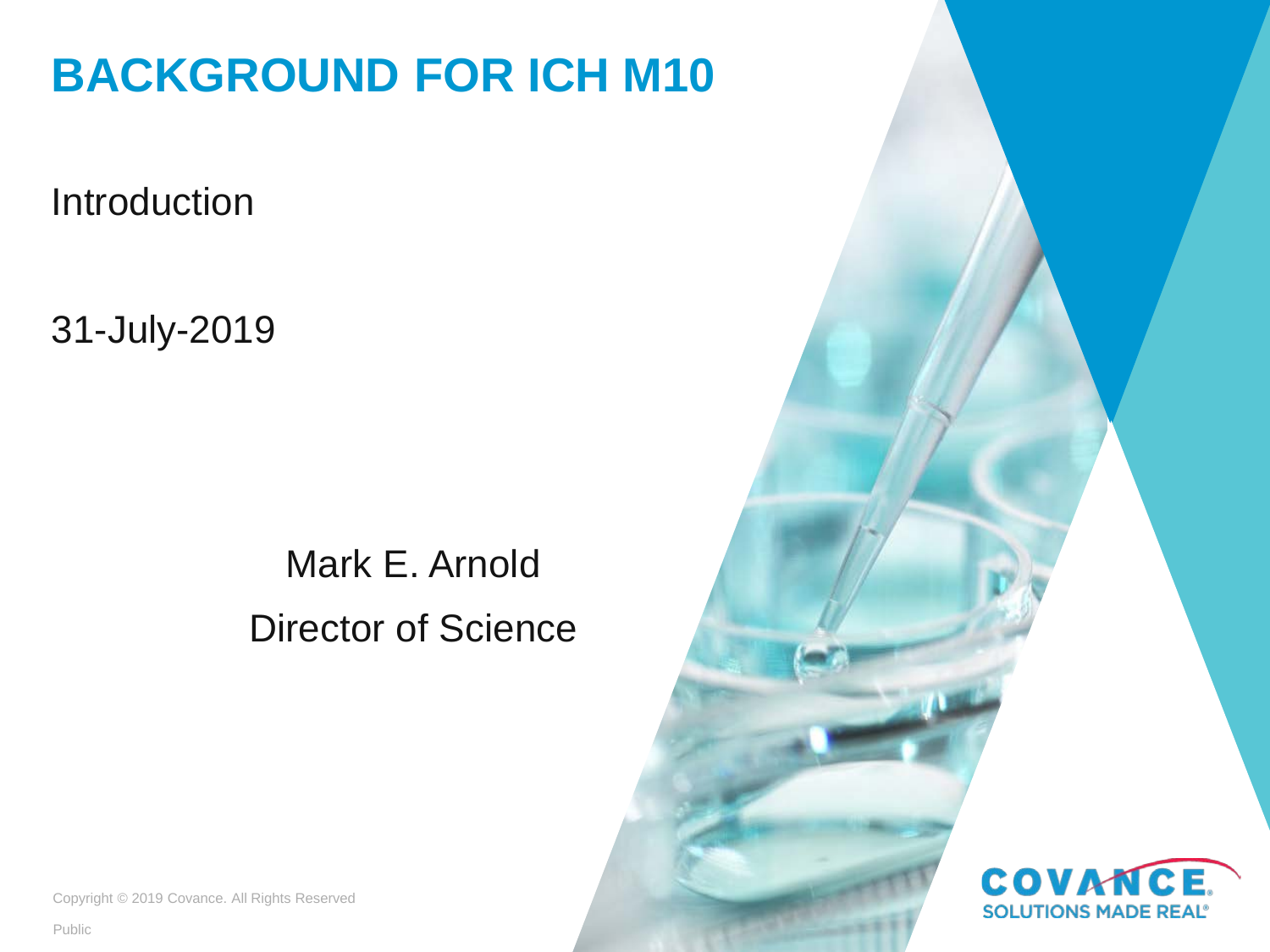# **BACKGROUND FOR ICH M10**

Introduction

31-July-2019

### Mark E. Arnold Director of Science



Copyright © 2019 Covance. All Rights Reserved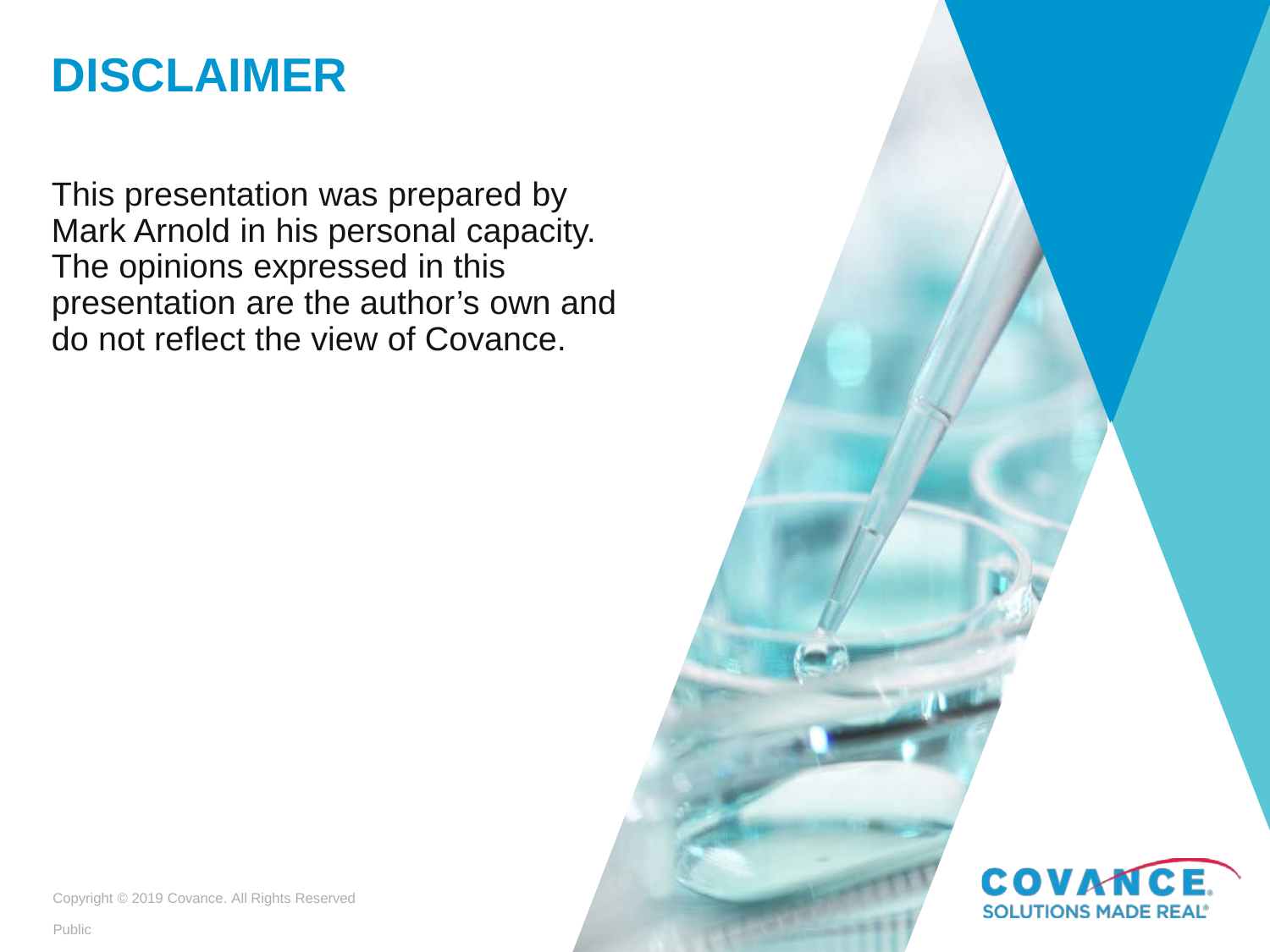### **DISCLAIMER**

This presentation was prepared by Mark Arnold in his personal capacity. The opinions expressed in this presentation are the author's own and do not reflect the view of Covance.



Copyright © 2019 Covance. All Rights Reserved

Public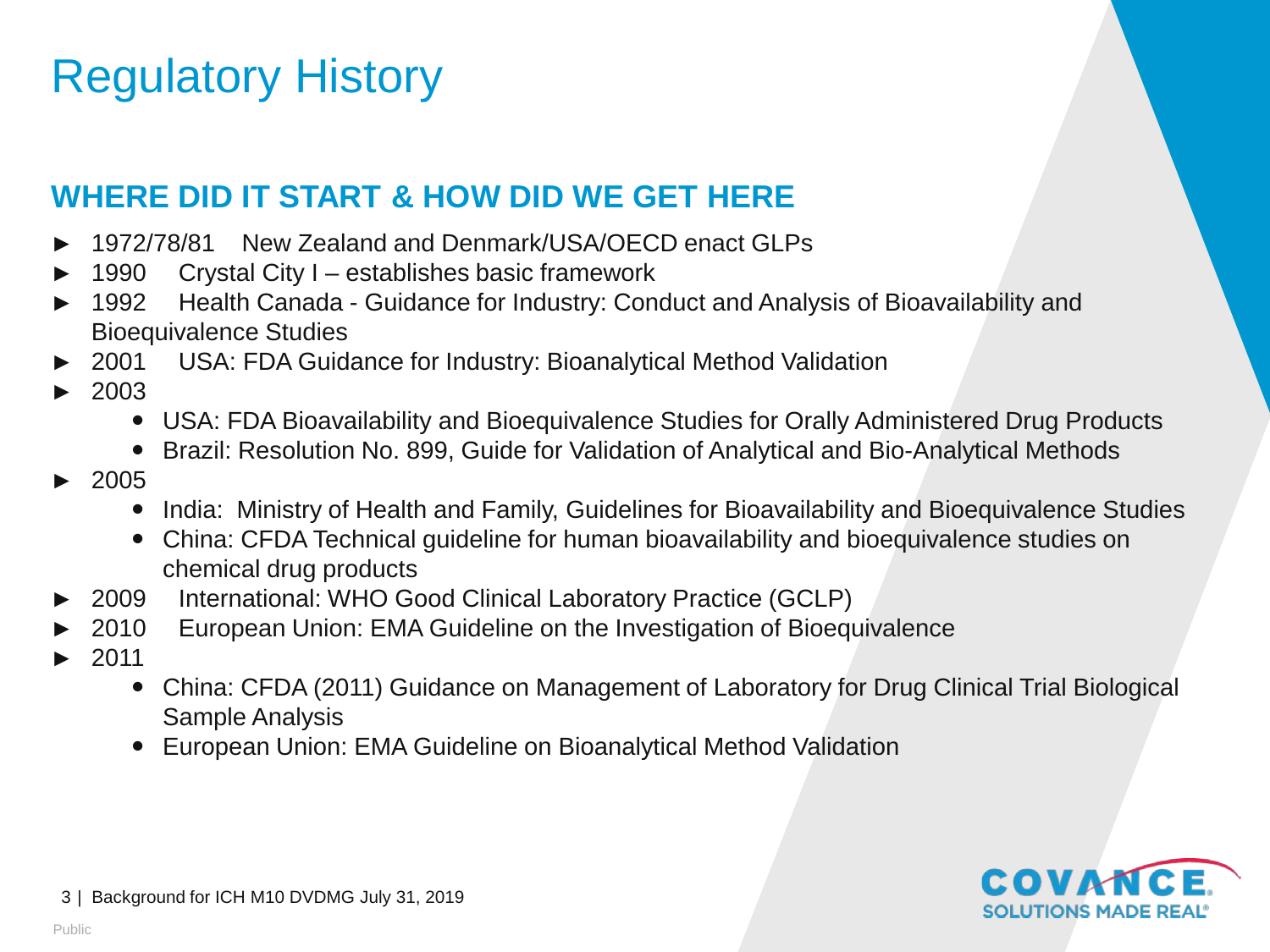### Regulatory History

#### **WHERE DID IT START & HOW DID WE GET HERE**

- ► 1972/78/81 New Zealand and Denmark/USA/OECD enact GLPs
- ► 1990 Crystal City I establishes basic framework
- ► 1992 Health Canada Guidance for Industry: Conduct and Analysis of Bioavailability and Bioequivalence Studies
- ► 2001 USA: FDA Guidance for Industry: Bioanalytical Method Validation
- $\blacktriangleright$  2003
	- USA: FDA Bioavailability and Bioequivalence Studies for Orally Administered Drug Products
	- Brazil: Resolution No. 899, Guide for Validation of Analytical and Bio-Analytical Methods
- ► 2005
	- India: Ministry of Health and Family, Guidelines for Bioavailability and Bioequivalence Studies
	- China: CFDA Technical guideline for human bioavailability and bioequivalence studies on chemical drug products
- ► 2009 International: WHO Good Clinical Laboratory Practice (GCLP)
- 2010 European Union: EMA Guideline on the Investigation of Bioequivalence
- ► 2011
	- China: CFDA (2011) Guidance on Management of Laboratory for Drug Clinical Trial Biological Sample Analysis
	- European Union: EMA Guideline on Bioanalytical Method Validation

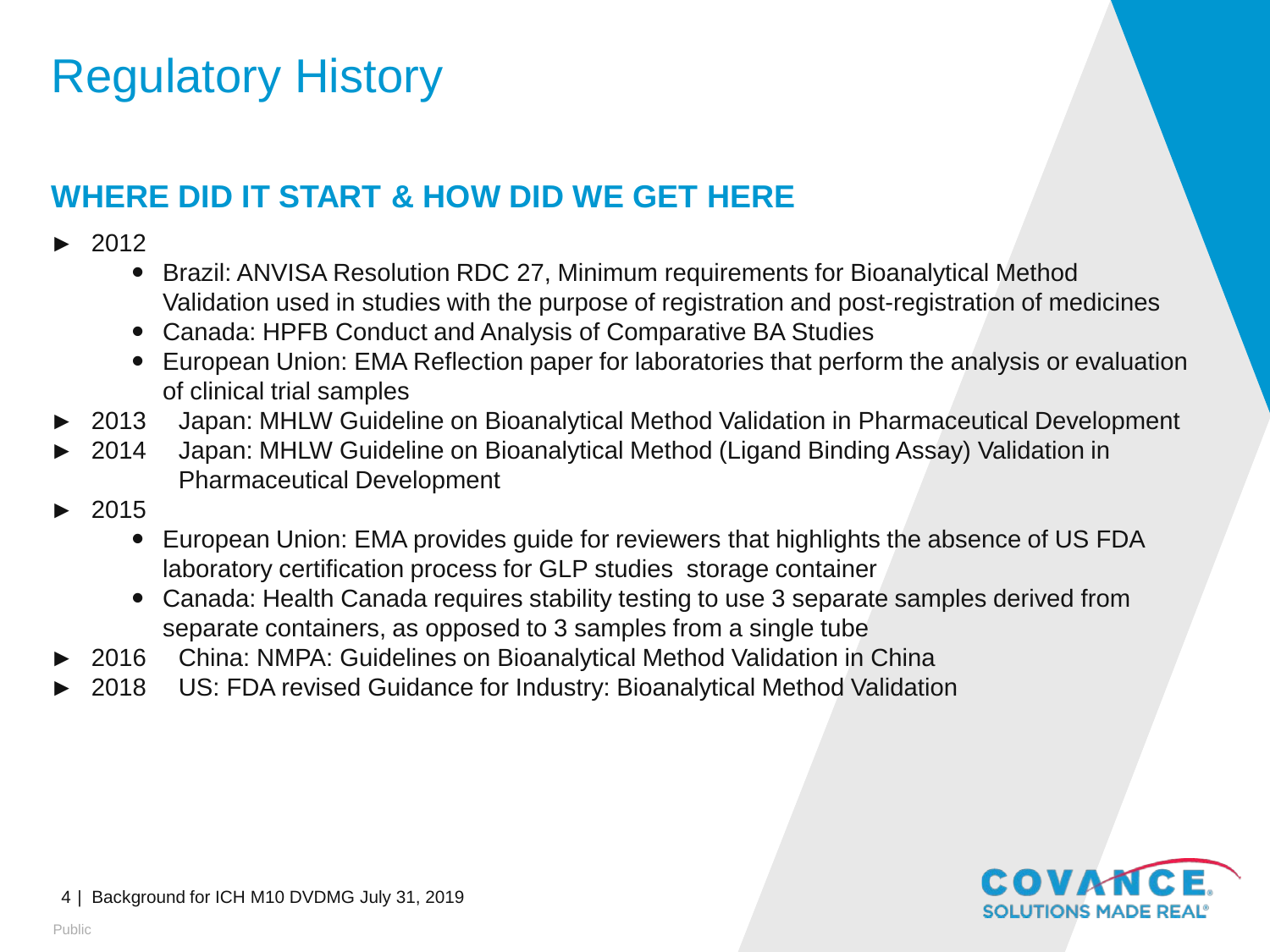### Regulatory History

#### **WHERE DID IT START & HOW DID WE GET HERE**

#### ► 2012

- Brazil: ANVISA Resolution RDC 27, Minimum requirements for Bioanalytical Method Validation used in studies with the purpose of registration and post-registration of medicines
- Canada: HPFB Conduct and Analysis of Comparative BA Studies
- European Union: EMA Reflection paper for laboratories that perform the analysis or evaluation of clinical trial samples
- 2013 Japan: MHLW Guideline on Bioanalytical Method Validation in Pharmaceutical Development
- ► 2014 Japan: MHLW Guideline on Bioanalytical Method (Ligand Binding Assay) Validation in Pharmaceutical Development
- ► 2015
	- European Union: EMA provides guide for reviewers that highlights the absence of US FDA laboratory certification process for GLP studies storage container
	- Canada: Health Canada requires stability testing to use 3 separate samples derived from separate containers, as opposed to 3 samples from a single tube
- 2016 China: NMPA: Guidelines on Bioanalytical Method Validation in China
- 2018 US: FDA revised Guidance for Industry: Bioanalytical Method Validation

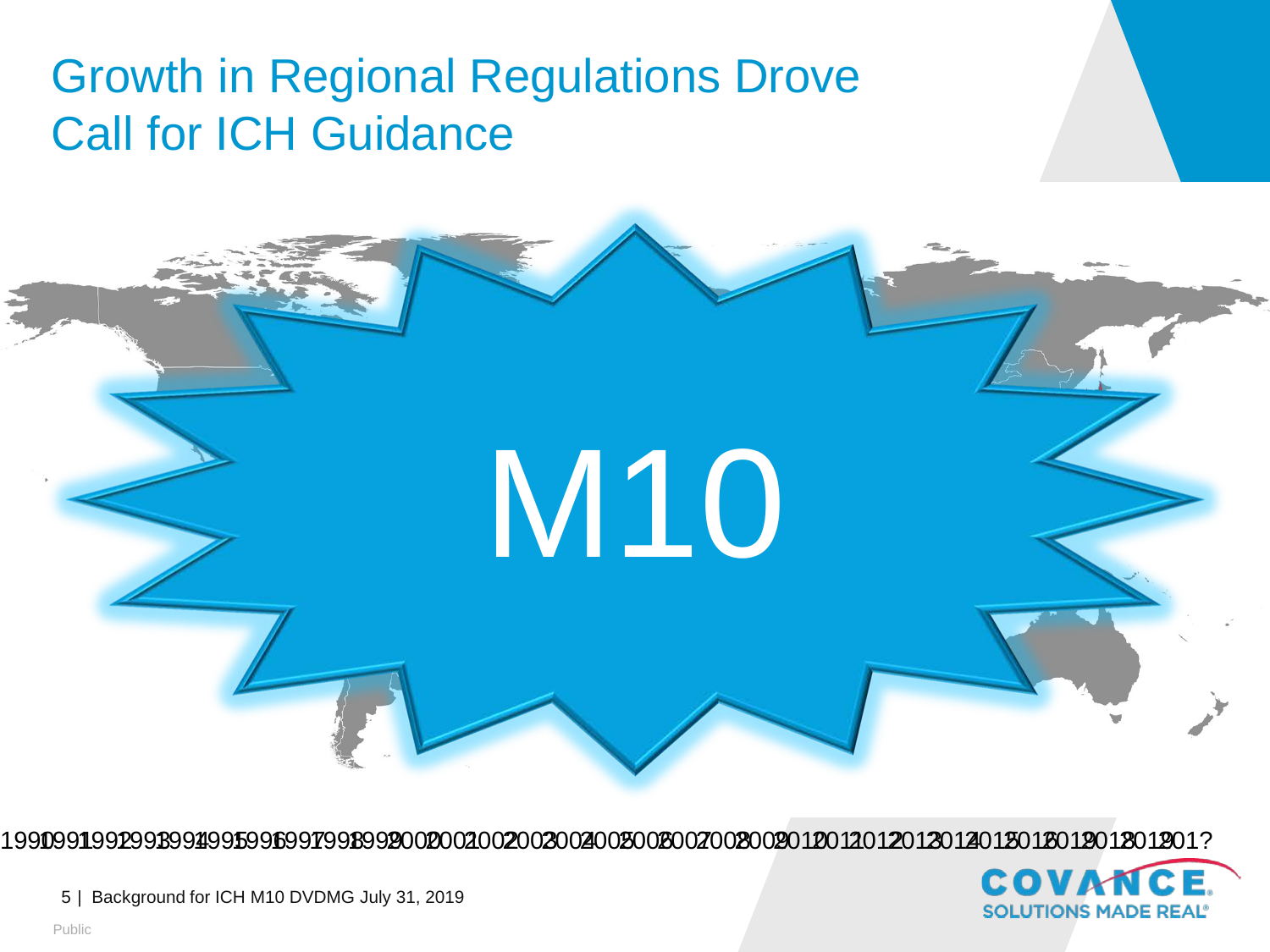## Growth in Regional Regulations Drove Call for ICH Guidance



199019911992199319941995199619971998199920002001200220032004200520062007200820092010201120122013201420152016201920182019201?

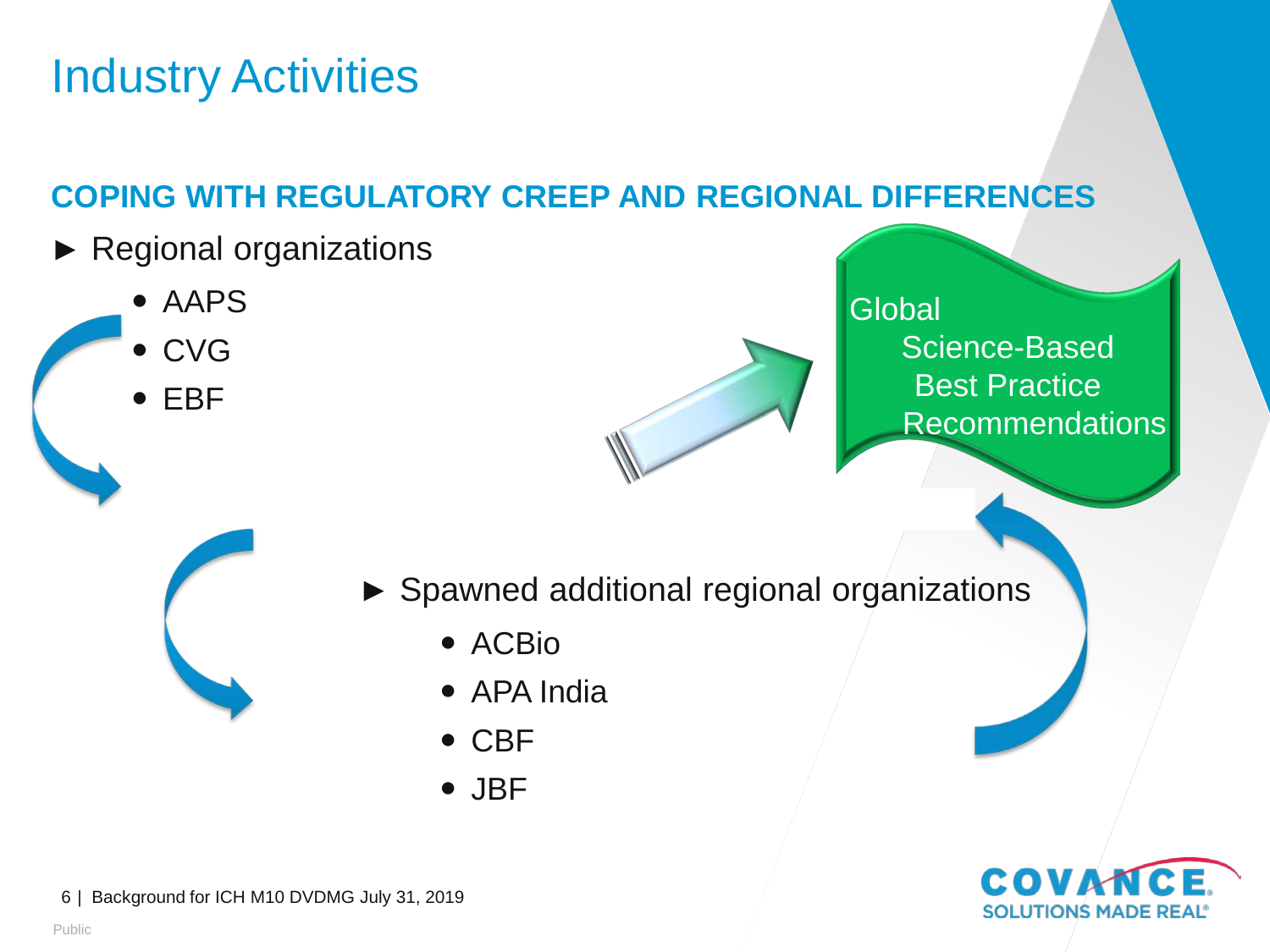### Industry Activities

#### **COPING WITH REGULATORY CREEP AND REGIONAL DIFFERENCES**

- ► Regional organizations
	- AAPS
	- CVG
	- EBF



**Global** Science-Based Best Practice Recommendations

► Spawned additional regional organizations

- ACBio
- APA India
- CBF
- JBF

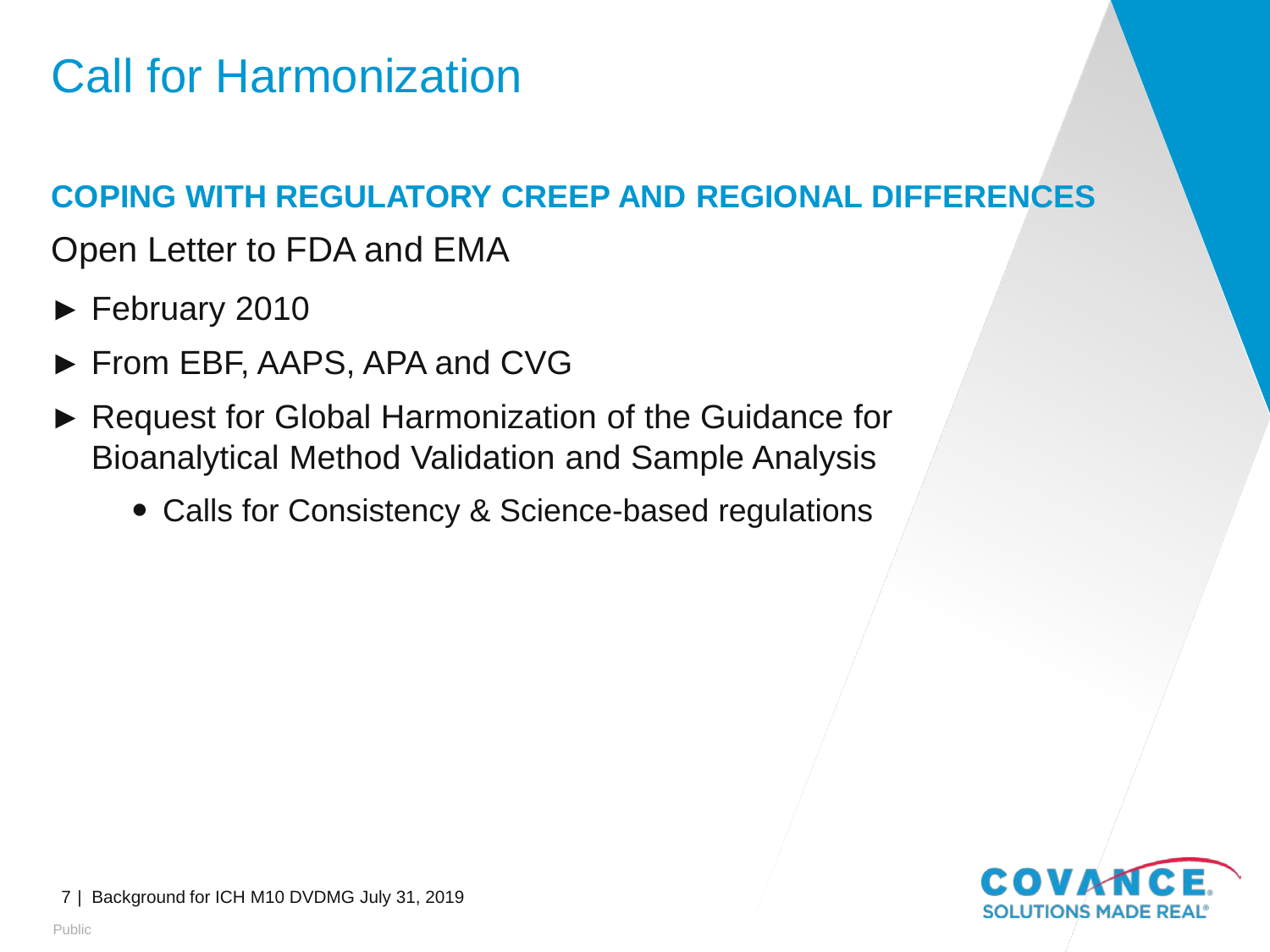## Call for Harmonization

#### **COPING WITH REGULATORY CREEP AND REGIONAL DIFFERENCES**

Open Letter to FDA and EMA

- ► February 2010
- ► From EBF, AAPS, APA and CVG
- ► Request for Global Harmonization of the Guidance for Bioanalytical Method Validation and Sample Analysis
	- Calls for Consistency & Science-based regulations



Public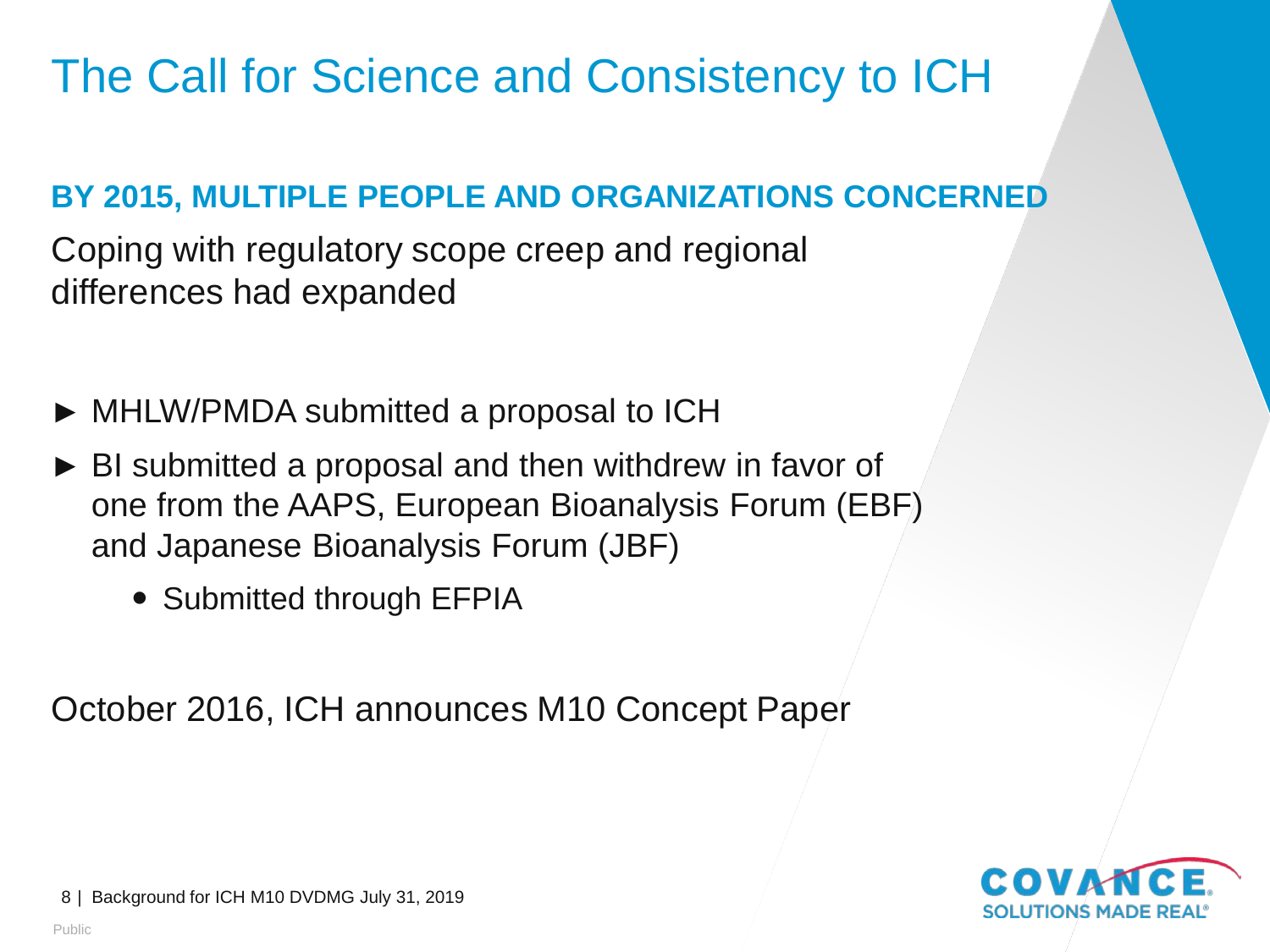# The Call for Science and Consistency to ICH

#### **BY 2015, MULTIPLE PEOPLE AND ORGANIZATIONS CONCERNED**

Coping with regulatory scope creep and regional differences had expanded

- ► MHLW/PMDA submitted a proposal to ICH
- ► BI submitted a proposal and then withdrew in favor of one from the AAPS, European Bioanalysis Forum (EBF) and Japanese Bioanalysis Forum (JBF)
	- Submitted through EFPIA

October 2016, ICH announces M10 Concept Paper

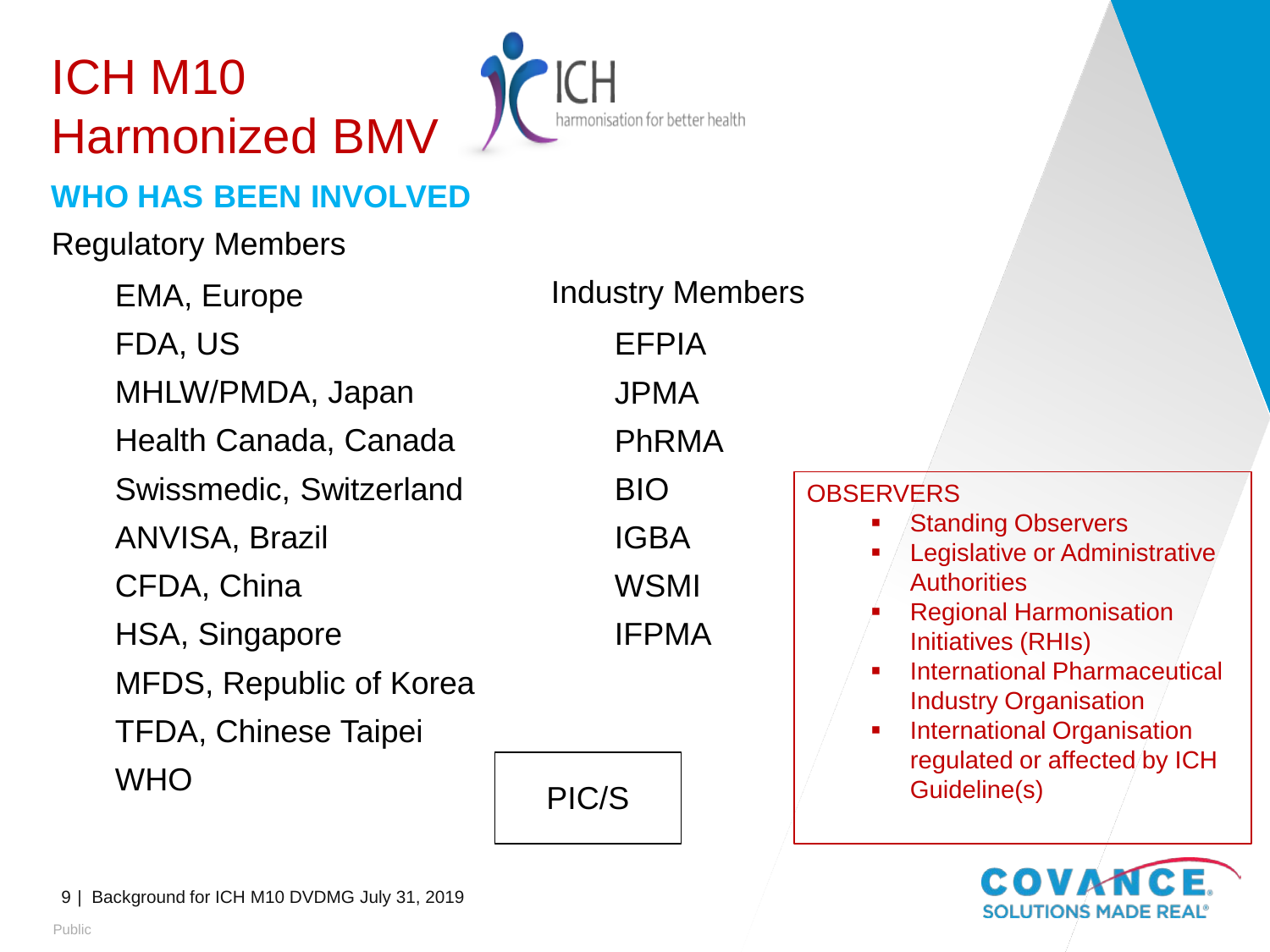# ICH M10 Harmonized BMV



#### **WHO HAS BEEN INVOLVED**

Regulatory Members

EMA, Europe FDA, US MHLW/PMDA, Japan Health Canada, Canada Swissmedic, Switzerland ANVISA, Brazil CFDA, China HSA, Singapore MFDS, Republic of Korea TFDA, Chinese Taipei **WHO** 

Industry Members EFPIA JPMA PhRMA BIO IGBA WSMI IFPMA

#### **OBSERVERS**

- Standing Observers
- Legislative or Administrative **Authorities**
- Regional Harmonisation Initiatives (RHIs)
- International Pharmaceutical Industry Organisation
- **International Organisation** regulated or affected by ICH PIC/S | Videline(s)

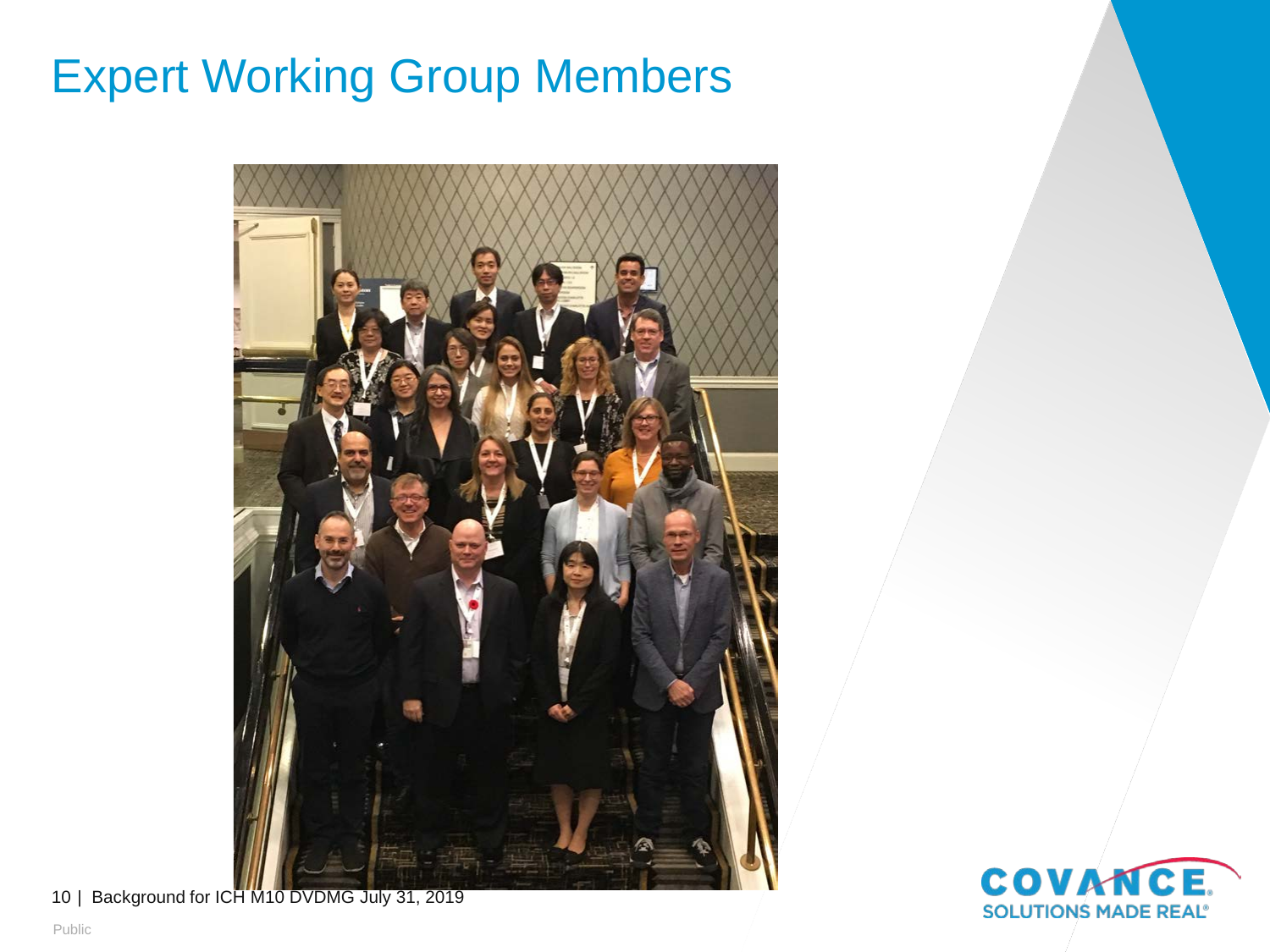## Expert Working Group Members



10 | Background for ICH M10 DVDMG July 31, 2019



Public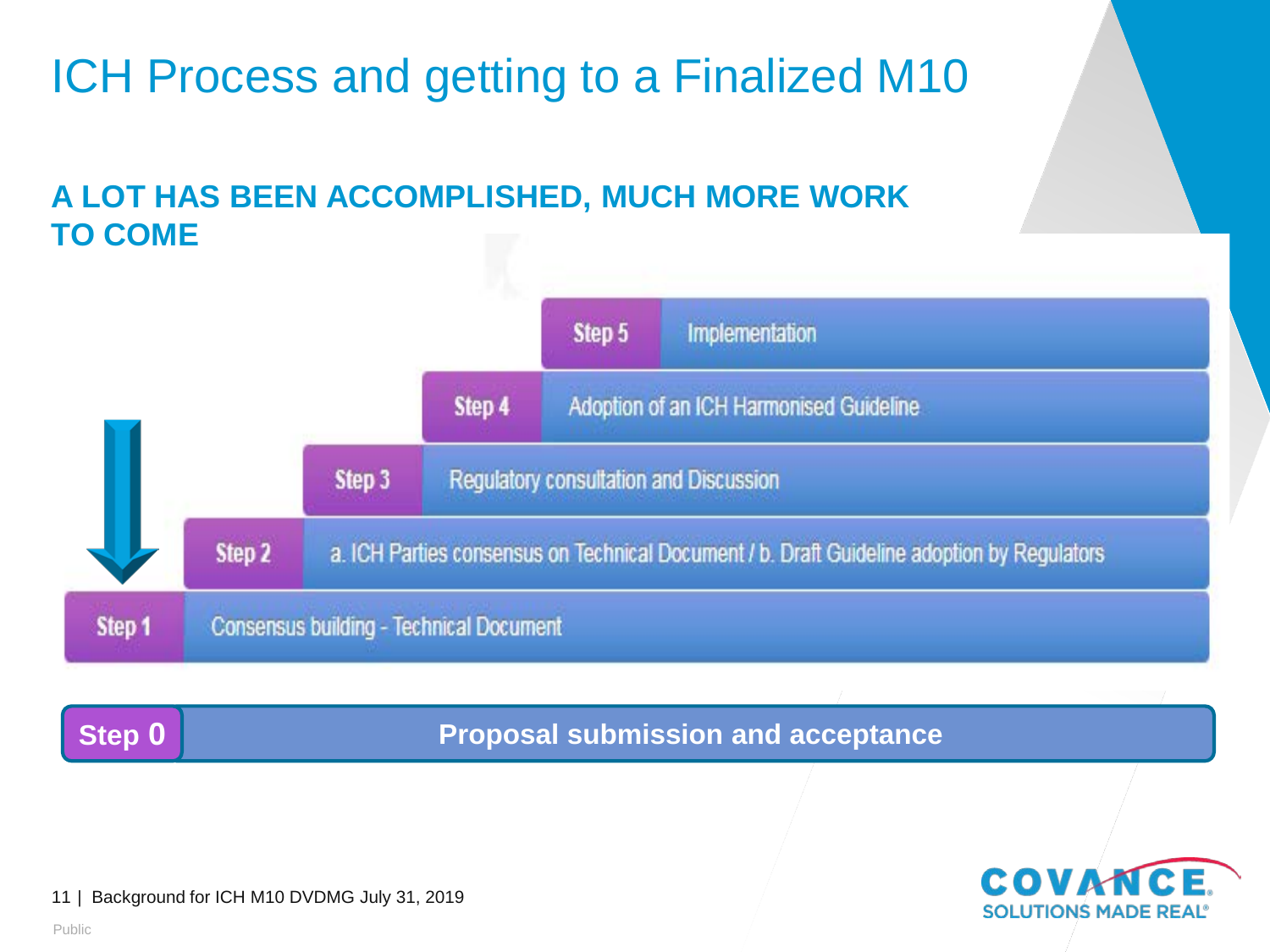# ICH Process and getting to a Finalized M10

#### **A LOT HAS BEEN ACCOMPLISHED, MUCH MORE WORK TO COME**

|        |                                         |        |                                                                                            | Step 5 | Implementation                          |
|--------|-----------------------------------------|--------|--------------------------------------------------------------------------------------------|--------|-----------------------------------------|
|        |                                         |        | Step 4                                                                                     |        | Adoption of an ICH Harmonised Guideline |
|        |                                         | Step 3 | Regulatory consultation and Discussion                                                     |        |                                         |
|        | Step 2                                  |        | a. ICH Parties consensus on Technical Document / b. Draft Guideline adoption by Regulators |        |                                         |
| Step 1 | Consensus building - Technical Document |        |                                                                                            |        |                                         |

**Step 0 Proposal submission and acceptance**

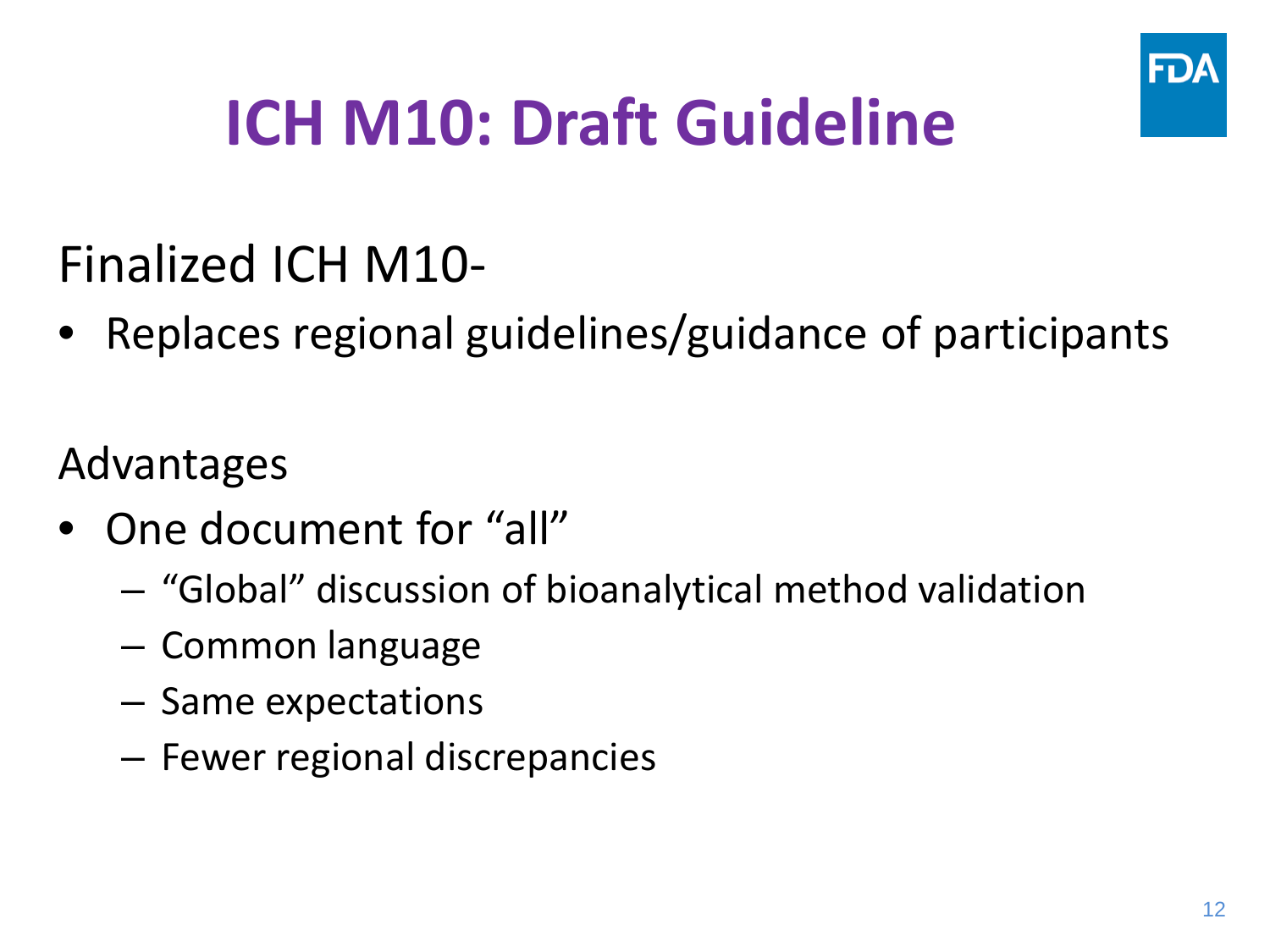

# **ICH M10: Draft Guideline**

Finalized ICH M10-

• Replaces regional guidelines/guidance of participants

Advantages

- One document for "all"
	- "Global" discussion of bioanalytical method validation
	- Common language
	- Same expectations
	- Fewer regional discrepancies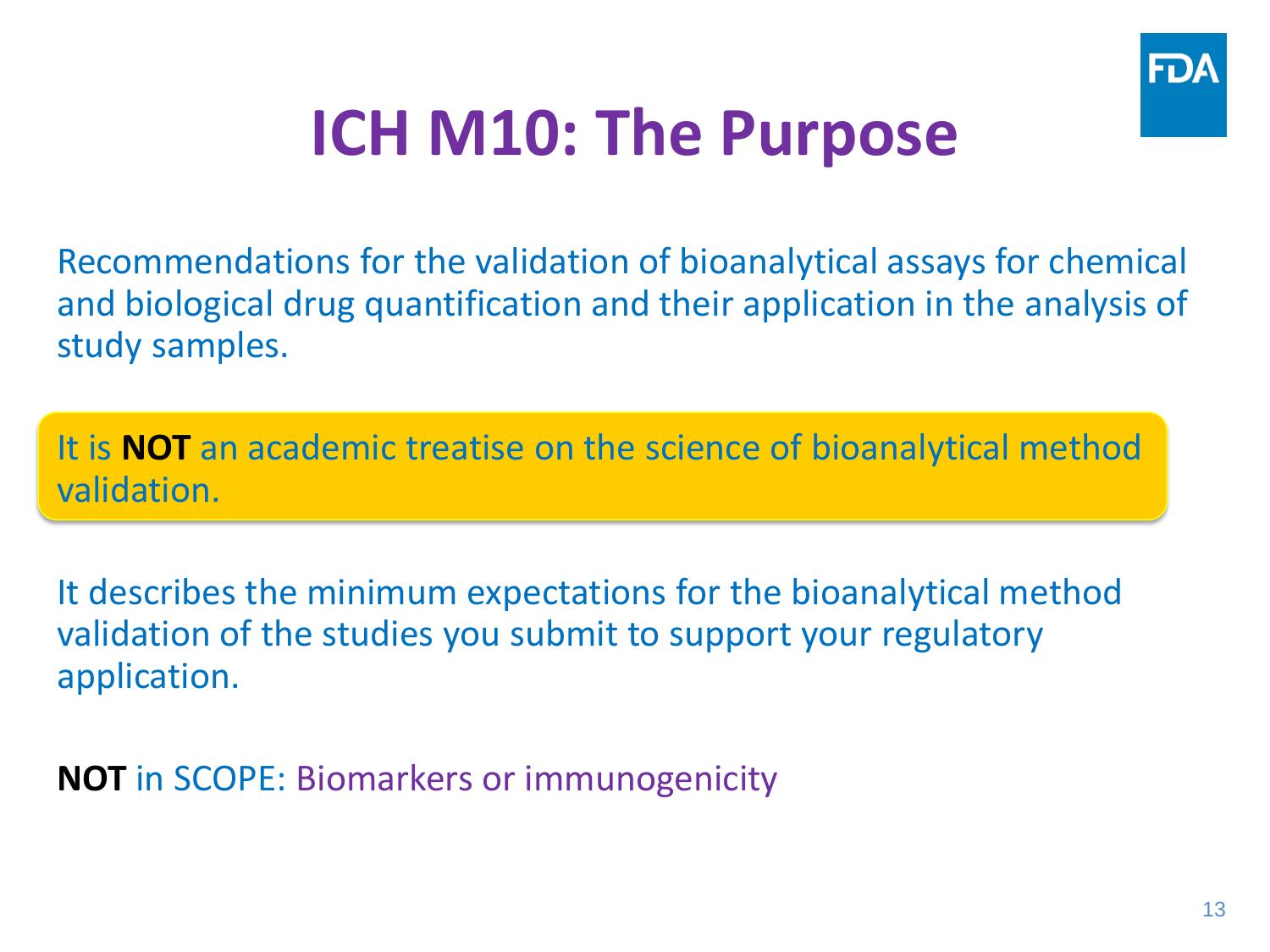

# **ICH M10: The Purpose**

Recommendations for the validation of bioanalytical assays for chemical and biological drug quantification and their application in the analysis of study samples.

It is **NOT** an academic treatise on the science of bioanalytical method validation.

It describes the minimum expectations for the bioanalytical method validation of the studies you submit to support your regulatory application.

**NOT** in SCOPE: Biomarkers or immunogenicity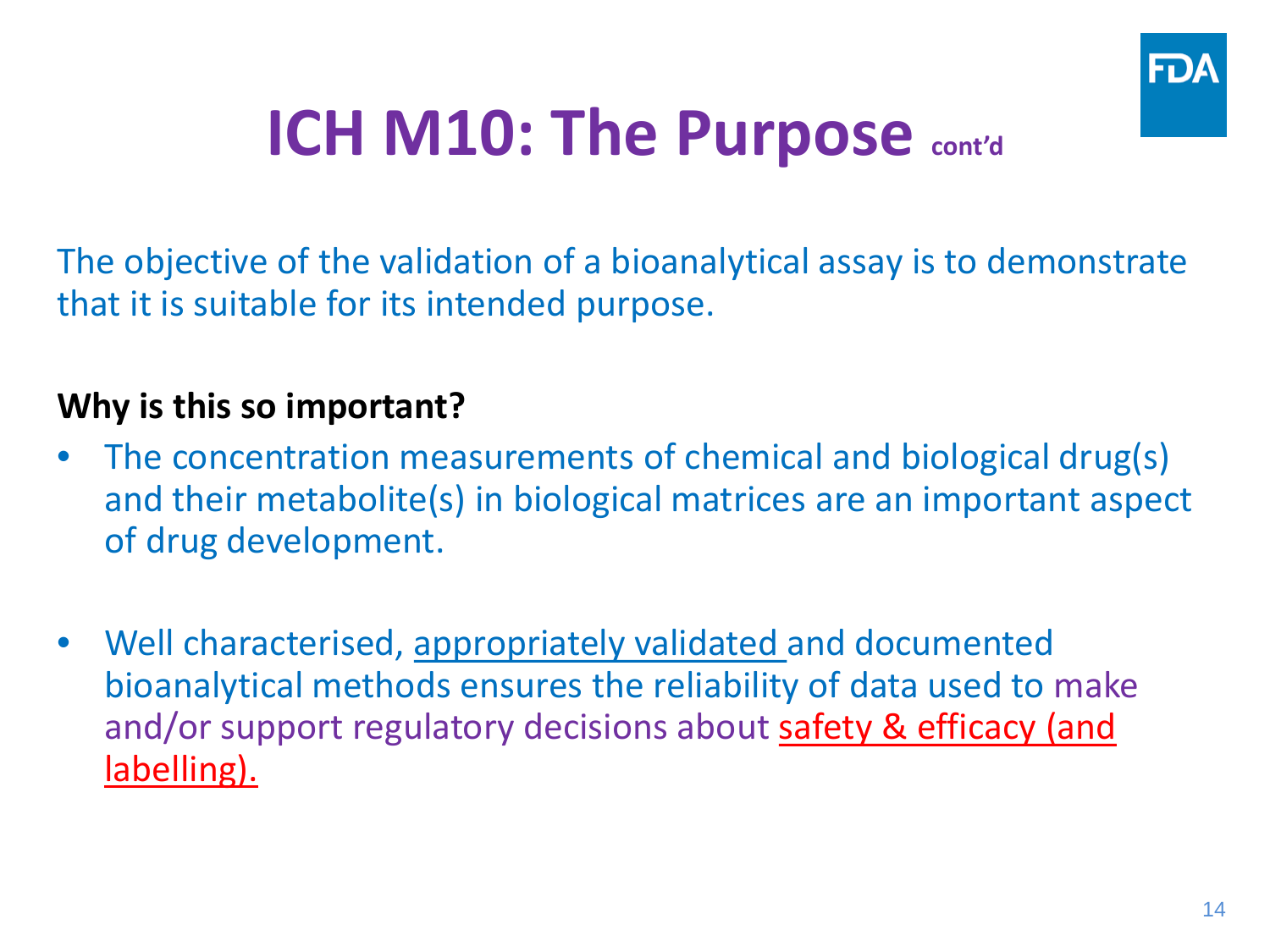

# **ICH M10: The Purpose cont'd**

The objective of the validation of a bioanalytical assay is to demonstrate that it is suitable for its intended purpose.

#### **Why is this so important?**

- The concentration measurements of chemical and biological drug(s) and their metabolite(s) in biological matrices are an important aspect of drug development.
- Well characterised, appropriately validated and documented bioanalytical methods ensures the reliability of data used to make and/or support regulatory decisions about safety & efficacy (and labelling).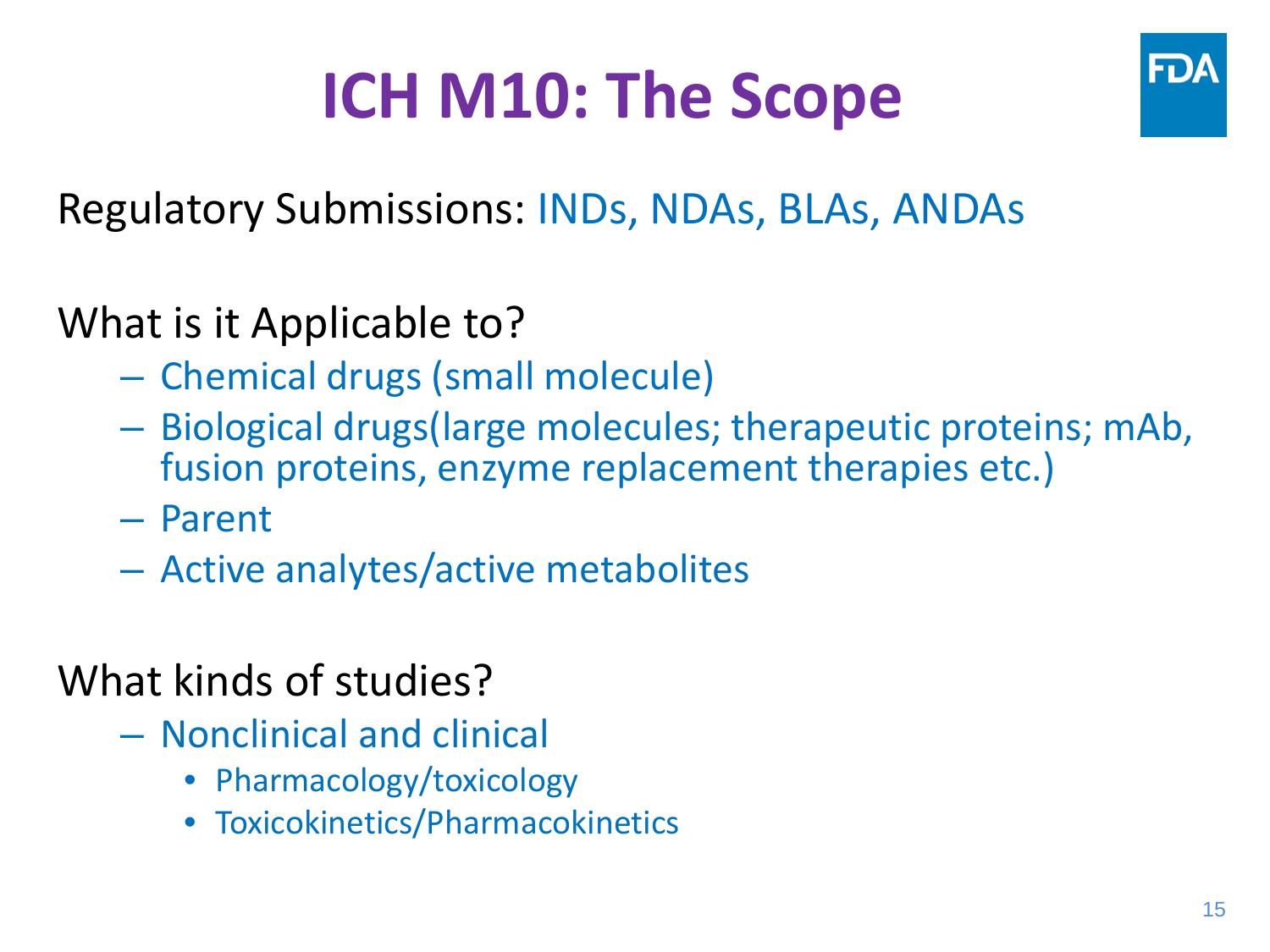# **ICH M10: The Scope**



#### Regulatory Submissions: INDs, NDAs, BLAs, ANDAs

- What is it Applicable to?
	- Chemical drugs (small molecule)
	- Biological drugs(large molecules; therapeutic proteins; mAb, fusion proteins, enzyme replacement therapies etc.)
	- Parent
	- Active analytes/active metabolites

#### What kinds of studies?

- Nonclinical and clinical
	- Pharmacology/toxicology
	- Toxicokinetics/Pharmacokinetics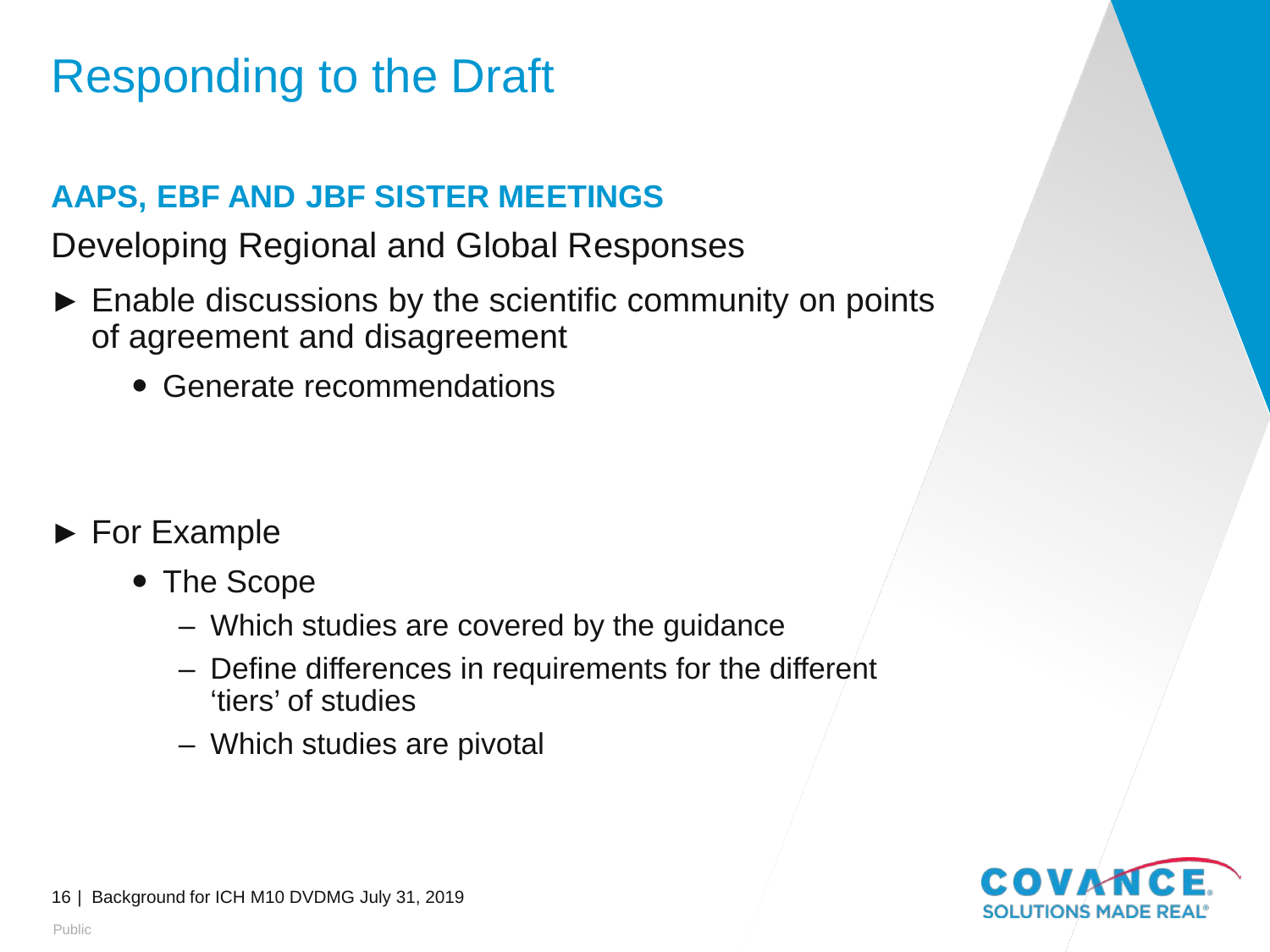## Responding to the Draft

#### **AAPS, EBF AND JBF SISTER MEETINGS**

Developing Regional and Global Responses

- ► Enable discussions by the scientific community on points of agreement and disagreement
	- Generate recommendations

- ► For Example
	- The Scope
		- Which studies are covered by the guidance
		- Define differences in requirements for the different 'tiers' of studies
		- Which studies are pivotal

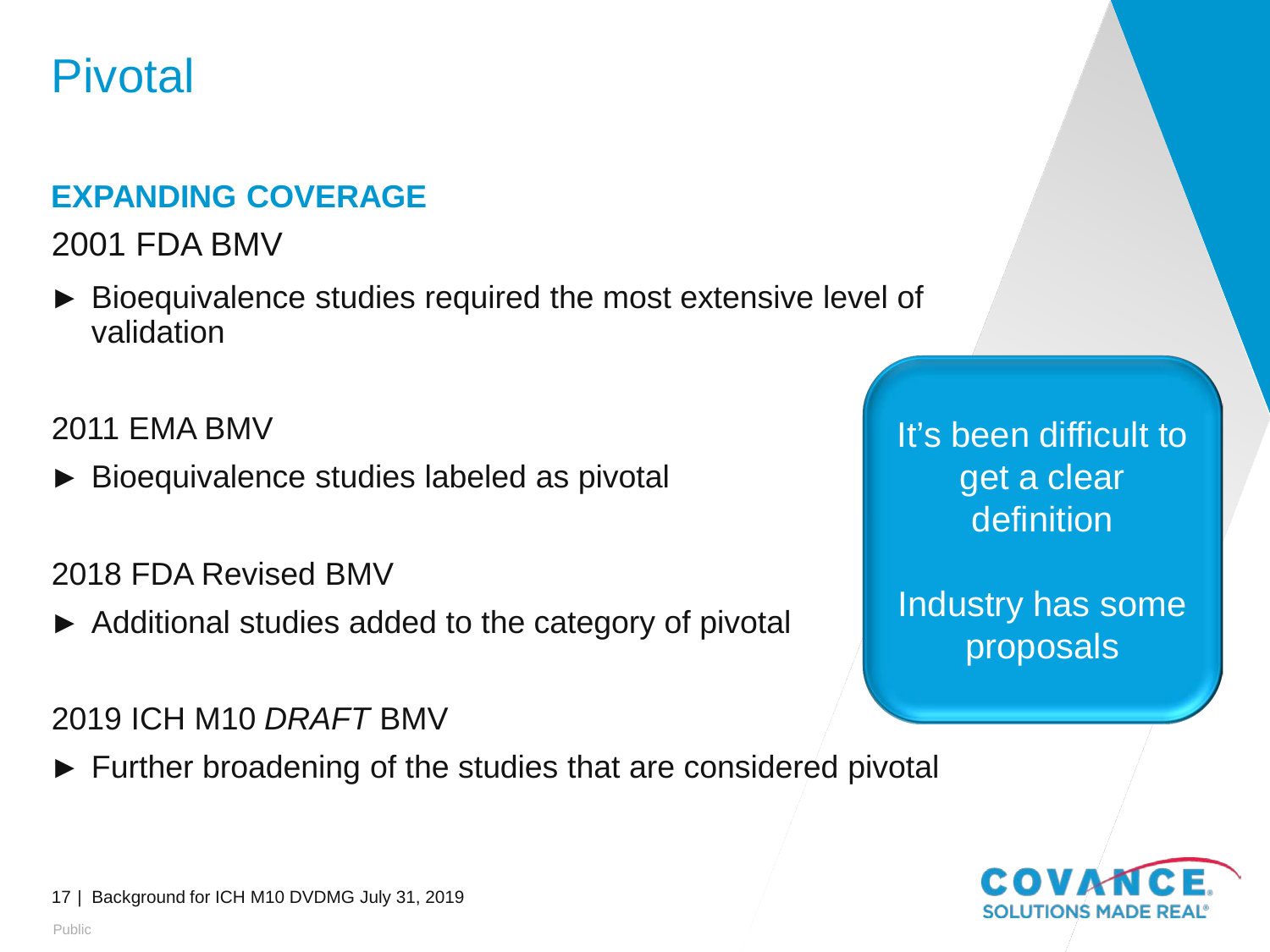#### Pivotal

#### **EXPANDING COVERAGE**

2001 FDA BMV

► Bioequivalence studies required the most extensive level of validation

2011 EMA BMV

► Bioequivalence studies labeled as pivotal

2018 FDA Revised BMV

► Additional studies added to the category of pivotal

2019 ICH M10 *DRAFT* BMV

► Further broadening of the studies that are considered pivotal

It's been difficult to get a clear definition

Industry has some proposals